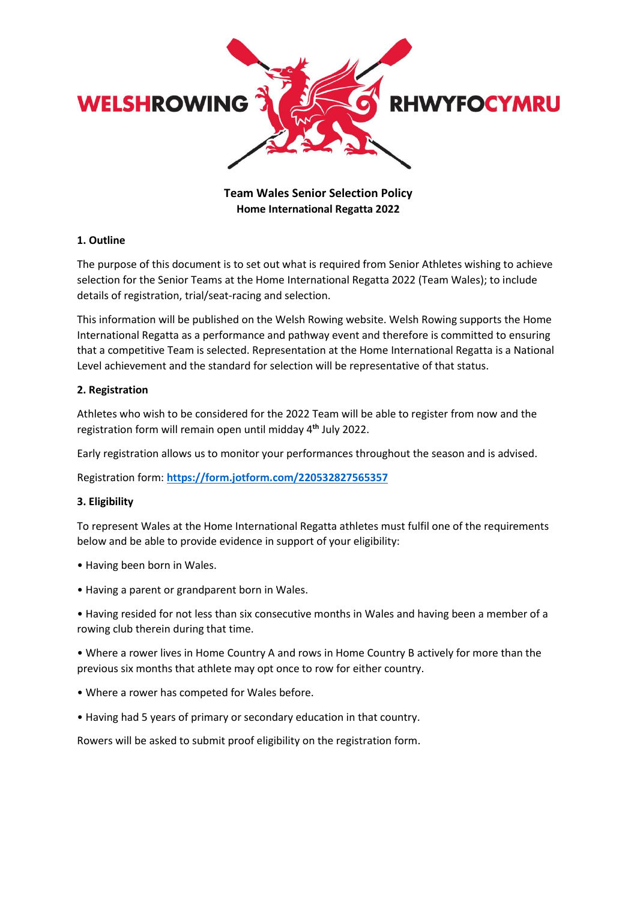

# **Team Wales Senior Selection Policy Home International Regatta 2022**

## **1. Outline**

The purpose of this document is to set out what is required from Senior Athletes wishing to achieve selection for the Senior Teams at the Home International Regatta 2022 (Team Wales); to include details of registration, trial/seat-racing and selection.

This information will be published on the Welsh Rowing website. Welsh Rowing supports the Home International Regatta as a performance and pathway event and therefore is committed to ensuring that a competitive Team is selected. Representation at the Home International Regatta is a National Level achievement and the standard for selection will be representative of that status.

#### **2. Registration**

Athletes who wish to be considered for the 2022 Team will be able to register from now and the registration form will remain open until midday 4 **th** July 2022.

Early registration allows us to monitor your performances throughout the season and is advised.

Registration form: **<https://form.jotform.com/220532827565357>**

#### **3. Eligibility**

To represent Wales at the Home International Regatta athletes must fulfil one of the requirements below and be able to provide evidence in support of your eligibility:

- Having been born in Wales.
- Having a parent or grandparent born in Wales.

• Having resided for not less than six consecutive months in Wales and having been a member of a rowing club therein during that time.

• Where a rower lives in Home Country A and rows in Home Country B actively for more than the previous six months that athlete may opt once to row for either country.

- Where a rower has competed for Wales before.
- Having had 5 years of primary or secondary education in that country.

Rowers will be asked to submit proof eligibility on the registration form.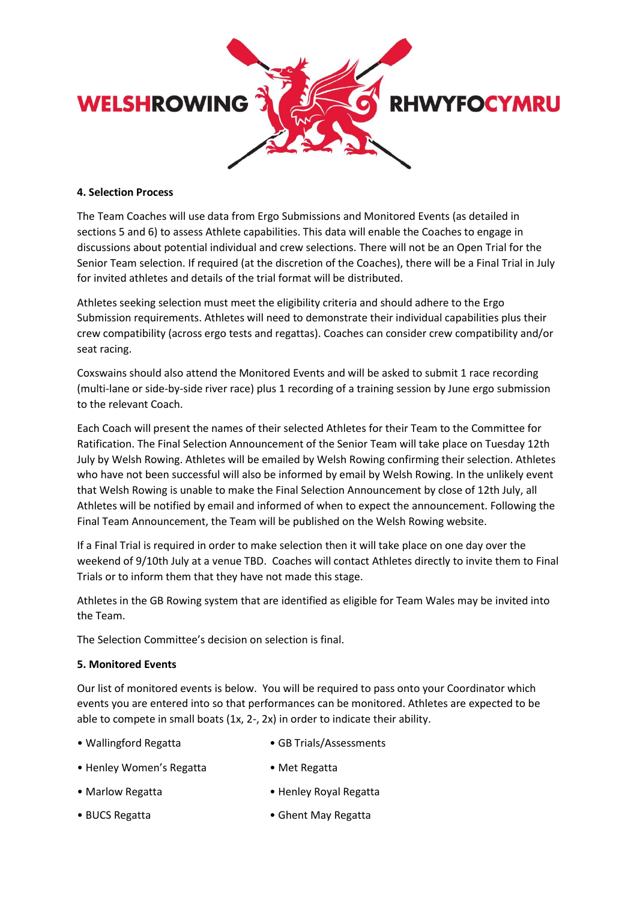

## **4. Selection Process**

The Team Coaches will use data from Ergo Submissions and Monitored Events (as detailed in sections 5 and 6) to assess Athlete capabilities. This data will enable the Coaches to engage in discussions about potential individual and crew selections. There will not be an Open Trial for the Senior Team selection. If required (at the discretion of the Coaches), there will be a Final Trial in July for invited athletes and details of the trial format will be distributed.

Athletes seeking selection must meet the eligibility criteria and should adhere to the Ergo Submission requirements. Athletes will need to demonstrate their individual capabilities plus their crew compatibility (across ergo tests and regattas). Coaches can consider crew compatibility and/or seat racing.

Coxswains should also attend the Monitored Events and will be asked to submit 1 race recording (multi-lane or side-by-side river race) plus 1 recording of a training session by June ergo submission to the relevant Coach.

Each Coach will present the names of their selected Athletes for their Team to the Committee for Ratification. The Final Selection Announcement of the Senior Team will take place on Tuesday 12th July by Welsh Rowing. Athletes will be emailed by Welsh Rowing confirming their selection. Athletes who have not been successful will also be informed by email by Welsh Rowing. In the unlikely event that Welsh Rowing is unable to make the Final Selection Announcement by close of 12th July, all Athletes will be notified by email and informed of when to expect the announcement. Following the Final Team Announcement, the Team will be published on the Welsh Rowing website.

If a Final Trial is required in order to make selection then it will take place on one day over the weekend of 9/10th July at a venue TBD. Coaches will contact Athletes directly to invite them to Final Trials or to inform them that they have not made this stage.

Athletes in the GB Rowing system that are identified as eligible for Team Wales may be invited into the Team.

The Selection Committee's decision on selection is final.

#### **5. Monitored Events**

Our list of monitored events is below. You will be required to pass onto your Coordinator which events you are entered into so that performances can be monitored. Athletes are expected to be able to compete in small boats (1x, 2-, 2x) in order to indicate their ability.

- Wallingford Regatta • GB Trials/Assessments
- Henley Women's Regatta Met Regatta
- Marlow Regatta Henley Royal Regatta
- BUCS Regatta Ghent May Regatta